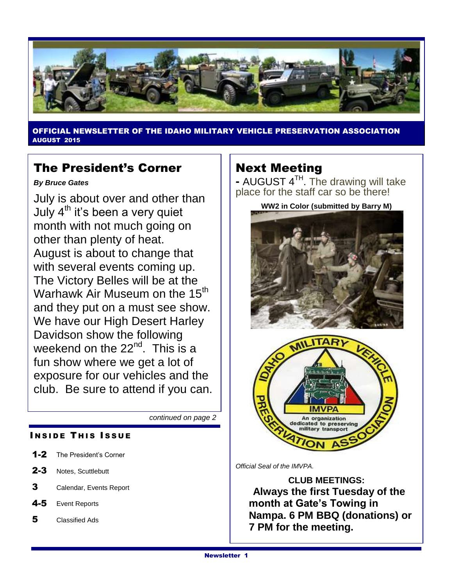

ER OF THE IDAHO MILITARY VEHICLE PRESERVATION ASSOCIATION AUGUST 2015

## The President's Corner

*By Bruce Gates*

July is about over and other than July  $4<sup>th</sup>$  it's been a very quiet month with not much going on other than plenty of heat. August is about to change that with several events coming up. The Victory Belles will be at the Warhawk Air Museum on the 15<sup>th</sup> and they put on a must see show. We have our High Desert Harley Davidson show the following weekend on the  $22<sup>nd</sup>$ . This is a fun show where we get a lot of exposure for our vehicles and the club. Be sure to attend if you can.

*continued on page 2*

#### **INSIDE THIS ISSUE**

- 1-2 The President's Corner
- 2-3 Notes, Scuttlebutt
- 3 Calendar, Events Report
- 4-5 Event Reports
- 5 Classified Ads

## Next Meeting

- AUGUST 4<sup>TH</sup>. The drawing will take place for the staff car so be there!

**WW2 in Color (submitted by Barry M)**



*Official Seal of the IMVPA.*

**CLUB MEETINGS: Always the first Tuesday of the month at Gate's Towing in Nampa. 6 PM BBQ (donations) or 7 PM for the meeting.**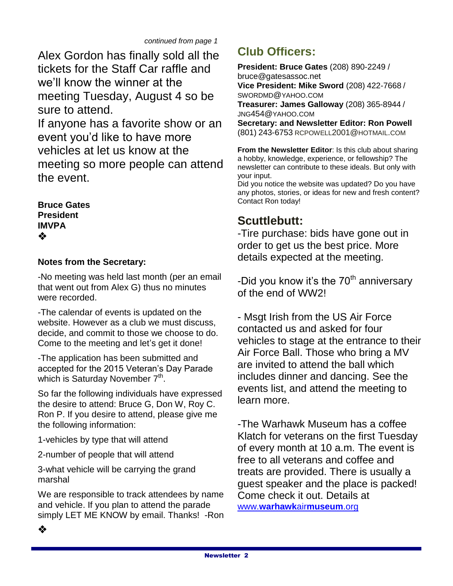Alex Gordon has finally sold all the tickets for the Staff Car raffle and we'll know the winner at the meeting Tuesday, August 4 so be sure to attend.

If anyone has a favorite show or an event you'd like to have more vehicles at let us know at the meeting so more people can attend the event.

**Bruce Gates President IMVPA** ❖

## **Notes from the Secretary:**

-No meeting was held last month (per an email that went out from Alex G) thus no minutes were recorded.

-The calendar of events is updated on the website. However as a club we must discuss, decide, and commit to those we choose to do. Come to the meeting and let's get it done!

-The application has been submitted and accepted for the 2015 Veteran's Day Parade which is Saturday November 7<sup>th</sup>.

So far the following individuals have expressed the desire to attend: Bruce G, Don W, Roy C. Ron P. If you desire to attend, please give me the following information:

1-vehicles by type that will attend

2-number of people that will attend

3-what vehicle will be carrying the grand marshal

We are responsible to track attendees by name and vehicle. If you plan to attend the parade simply LET ME KNOW by email. Thanks! -Ron

# **Club Officers:**

**President: Bruce Gates** (208) 890-2249 / bruce@gatesassoc.net **Vice President: Mike Sword** (208) 422-7668 / SWORDMD@YAHOO.COM **Treasurer: James Galloway** (208) 365-8944 / JNG454@YAHOO.COM **Secretary: and Newsletter Editor: Ron Powell**  (801) 243-6753 [RCPOWELL](mailto:rcpowell2001@hotmail.com)2001@HOTMAIL.COM

**From the Newsletter Editor**: Is this club about sharing a hobby, knowledge, experience, or fellowship? The newsletter can contribute to these ideals. But only with your input.

Did you notice the website was updated? Do you have any photos, stories, or ideas for new and fresh content? Contact Ron today!

## **Scuttlebutt:**

-Tire purchase: bids have gone out in order to get us the best price. More details expected at the meeting.

-Did you know it's the  $70<sup>th</sup>$  anniversary of the end of WW2!

- Msgt Irish from the US Air Force contacted us and asked for four vehicles to stage at the entrance to their Air Force Ball. Those who bring a MV are invited to attend the ball which includes dinner and dancing. See the events list, and attend the meeting to learn more.

-The Warhawk Museum has a coffee Klatch for veterans on the first Tuesday of every month at 10 a.m. The event is free to all veterans and coffee and treats are provided. There is usually a guest speaker and the place is packed! Come check it out. Details at www.**[warhawk](http://www.warhawkairmuseum.org/)**air**museum**.org

❖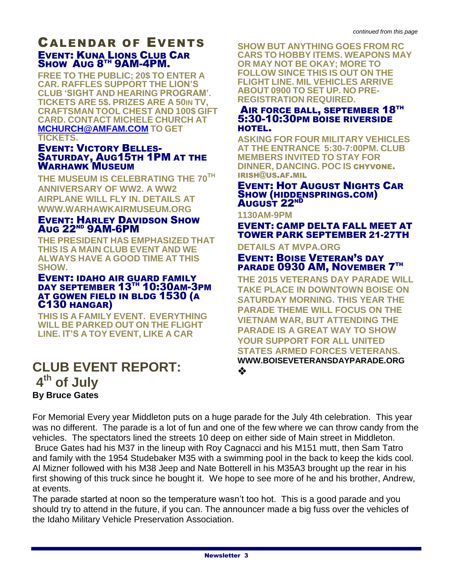## CALENDAR OF EVENTS EVENT: KUNA LIONS CLUB CAR SHOW AUG 8<sup>TH</sup> 9AM-4PM.

**FREE TO THE PUBLIC; 20\$ TO ENTER A CAR. RAFFLES SUPPORT THE LION'S CLUB 'SIGHT AND HEARING PROGRAM'. TICKETS ARE 5\$. PRIZES ARE A 50IN TV, CRAFTSMAN TOOL CHEST AND 100\$ GIFT CARD. CONTACT MICHELE CHURCH AT [MCHURCH@AMFAM.COM](mailto:MCHURCH@AMFAM.COM) TO GET TICKETS.**

#### EVENT: VICTORY BELLES-SATURDAY, AUG15TH 1PM AT THE WARHAWK MUSEUM

**THE MUSEUM IS CELEBRATING THE 70TH ANNIVERSARY OF WW2. A WW2 AIRPLANE WILL FLY IN. DETAILS AT WWW.WARHAWKAIRMUSEUM.ORG**

#### EVENT: HARLEY DAVIDSON SHOW AUG 22ND 9AM-6PM

**THE PRESIDENT HAS EMPHASIZED THAT THIS IS A MAIN CLUB EVENT AND WE ALWAYS HAVE A GOOD TIME AT THIS SHOW.**

#### EVENT: IDAHO AIR GUARD FAMILY DAY SEPTEMBER 13TH 10:30AM-3PM AT GOWEN FIELD IN BLDG 1530 (A C130 HANGAR)

**THIS IS A FAMILY EVENT. EVERYTHING WILL BE PARKED OUT ON THE FLIGHT LINE. IT'S A TOY EVENT, LIKE A CAR**

## **CLUB EVENT REPORT: 4 th of July By Bruce Gates**

**SHOW BUT ANYTHING GOES FROM RC CARS TO HOBBY ITEMS. WEAPONS MAY OR MAY NOT BE OKAY; MORE TO FOLLOW SINCE THIS IS OUT ON THE FLIGHT LINE. MIL VEHICLES ARRIVE ABOUT 0900 TO SET UP. NO PRE-REGISTRATION REQUIRED.**

#### AIR FORCE BALL, SEPTEMBER 18TH 5:30-10:30PM BOISE RIVERSIDE HOTEL.

**ASKING FOR FOUR MILITARY VEHICLES AT THE ENTRANCE 5:30-7:00PM. CLUB MEMBERS INVITED TO STAY FOR DINNER, DANCING. POC IS** CHYVONE. IRISH@US.AF.MIL

#### EVENT: HOT AUGUST NIGHTS CAR SHOW (HIDDENSPRINGS.COM) August 22<sup>ND</sup>

**1130AM-9PM**

EVENT: CAMP DELTA FALL MEET AT TOWER PARK SEPTEMBER 21-27TH

#### **DETAILS AT MVPA.ORG**

### EVENT: BOISE VETERAN'S DAY PARADE 0930 AM, NOVEMBER 7TH

**THE 2015 VETERANS DAY PARADE WILL TAKE PLACE IN DOWNTOWN BOISE ON SATURDAY MORNING. THIS YEAR THE PARADE THEME WILL FOCUS ON THE VIETNAM WAR, BUT ATTENDING THE PARADE IS A GREAT WAY TO SHOW YOUR SUPPORT FOR ALL UNITED STATES ARMED FORCES VETERANS. WWW.BOISEVETERANSDAYPARADE.ORG** ❖

For Memorial Every year Middleton puts on a huge parade for the July 4th celebration. This year was no different. The parade is a lot of fun and one of the few where we can throw candy from the vehicles. The spectators lined the streets 10 deep on either side of Main street in Middleton. Bruce Gates had his M37 in the lineup with Roy Cagnacci and his M151 mutt, then Sam Tatro and family with the 1954 Studebaker M35 with a swimming pool in the back to keep the kids cool. Al Mizner followed with his M38 Jeep and Nate Botterell in his M35A3 brought up the rear in his first showing of this truck since he bought it. We hope to see more of he and his brother, Andrew, at events.

The parade started at noon so the temperature wasn't too hot. This is a good parade and you should try to attend in the future, if you can. The announcer made a big fuss over the vehicles of the Idaho Military Vehicle Preservation Association.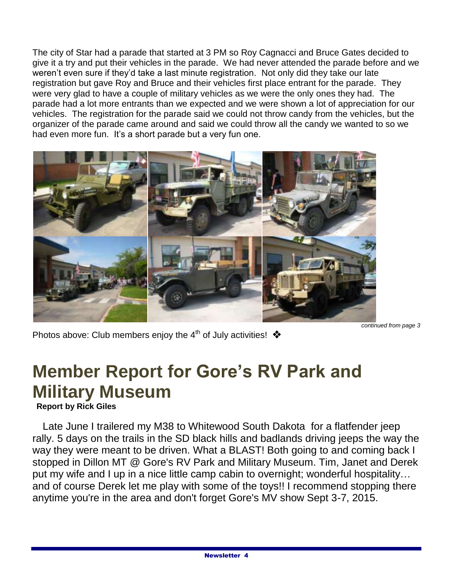The city of Star had a parade that started at 3 PM so Roy Cagnacci and Bruce Gates decided to give it a try and put their vehicles in the parade. We had never attended the parade before and we weren't even sure if they'd take a last minute registration. Not only did they take our late registration but gave Roy and Bruce and their vehicles first place entrant for the parade. They were very glad to have a couple of military vehicles as we were the only ones they had. The parade had a lot more entrants than we expected and we were shown a lot of appreciation for our vehicles. The registration for the parade said we could not throw candy from the vehicles, but the organizer of the parade came around and said we could throw all the candy we wanted to so we had even more fun. It's a short parade but a very fun one.



Photos above: Club members enjoy the 4<sup>th</sup> of July activities!  $\clubsuit$ 

# **Member Report for Gore's RV Park and Military Museum**

 **Report by Rick Giles**

 Late June I trailered my M38 to Whitewood South Dakota for a flatfender jeep rally. 5 days on the trails in the SD black hills and badlands driving jeeps the way the way they were meant to be driven. What a BLAST! Both going to and coming back I stopped in Dillon MT @ Gore's RV Park and Military Museum. Tim, Janet and Derek put my wife and I up in a nice little camp cabin to overnight; wonderful hospitality… and of course Derek let me play with some of the toys!! I recommend stopping there anytime you're in the area and don't forget Gore's MV show Sept 3-7, 2015.